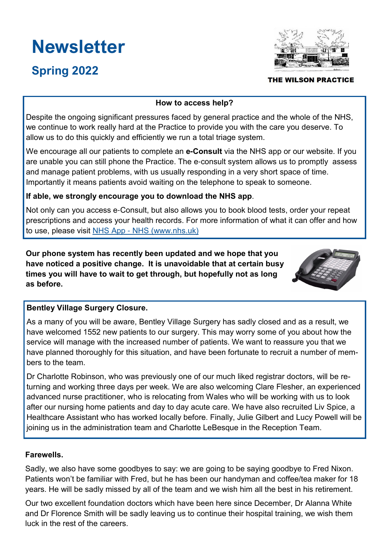# **Newsletter**

# Spring 2022



### THE WILSON PRACTICE

## How to access help?

Despite the ongoing significant pressures faced by general practice and the whole of the NHS, we continue to work really hard at the Practice to provide you with the care you deserve. To allow us to do this quickly and efficiently we run a total triage system.

We encourage all our patients to complete an e**-**Consult via the NHS app or our website. If you are unable you can still phone the Practice. The e-consult system allows us to promptly assess and manage patient problems, with us usually responding in a very short space of time. Importantly it means patients avoid waiting on the telephone to speak to someone.

# If able, we strongly encourage you to download the NHS app.

Not only can you access e-Consult, but also allows you to book blood tests, order your repeat prescriptions and access your health records. For more information of what it can offer and how to use, please visit NHS App - NHS (www.nhs.uk)

Our phone system has recently been updated and we hope that you have noticed a positive change. It is unavoidable that at certain busy times you will have to wait to get through, but hopefully not as long as before.



# Bentley Village Surgery Closure.

As a many of you will be aware, Bentley Village Surgery has sadly closed and as a result, we have welcomed 1552 new patients to our surgery. This may worry some of you about how the service will manage with the increased number of patients. We want to reassure you that we have planned thoroughly for this situation, and have been fortunate to recruit a number of members to the team.

Dr Charlotte Robinson, who was previously one of our much liked registrar doctors, will be returning and working three days per week. We are also welcoming Clare Flesher, an experienced advanced nurse practitioner, who is relocating from Wales who will be working with us to look after our nursing home patients and day to day acute care. We have also recruited Liv Spice, a Healthcare Assistant who has worked locally before. Finally, Julie Gilbert and Lucy Powell will be joining us in the administration team and Charlotte LeBesque in the Reception Team.

# Farewells.

Sadly, we also have some goodbyes to say: we are going to be saying goodbye to Fred Nixon. Patients won't be familiar with Fred, but he has been our handyman and coffee/tea maker for 18 years. He will be sadly missed by all of the team and we wish him all the best in his retirement.

Our two excellent foundation doctors which have been here since December, Dr Alanna White and Dr Florence Smith will be sadly leaving us to continue their hospital training, we wish them luck in the rest of the careers.